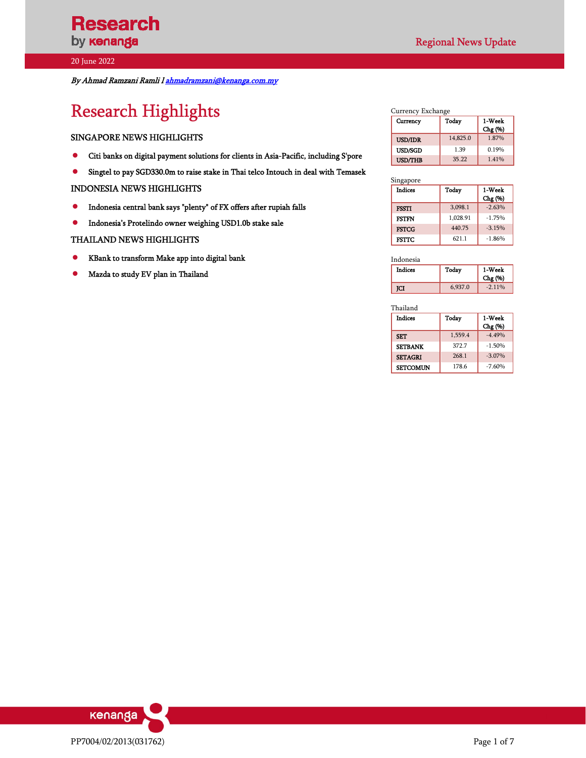By Ahmad Ramzani Ramli l ahmadramzani@kenanga.com.my

# Research Highlights

#### SINGAPORE NEWS HIGHLIGHTS

- Citi banks on digital payment solutions for clients in Asia-Pacific, including S'pore
- $\bullet$  Singtel to pay SGD330.0m to raise stake in Thai telco Intouch in deal with Temasek

#### INDONESIA NEWS HIGHLIGHTS

- Indonesia central bank says "plenty" of FX offers after rupiah falls
- $\bullet$  Indonesia's Protelindo owner weighing USD1.0b stake sale

#### THAILAND NEWS HIGHLIGHTS

- KBank to transform Make app into digital bank
- Mazda to study EV plan in Thailand

| Currency       | Today    | 1-Week<br>Chg (%) |
|----------------|----------|-------------------|
| <b>USD/IDR</b> | 14,825.0 | 1.87%             |
| <b>USD/SGD</b> | 1.39     | 0.19%             |
| <b>USD/THB</b> | 35.22    | 1.41%             |

#### Singapore

| <b>Indices</b> | Today    | 1-Week<br>Chg (%) |
|----------------|----------|-------------------|
| <b>FSSTI</b>   | 3,098.1  | $-2.63%$          |
| <b>FSTFN</b>   | 1.028.91 | $-1.75%$          |
| <b>FSTCG</b>   | 440.75   | $-3.15%$          |
| FSTTC          | 621.1    | $-1.86%$          |

Indonesia

| Indices | Today   | 1-Week<br>Chg (%) |
|---------|---------|-------------------|
| ſСI     | 6,937.0 | $-2.11%$          |

Thailand

| <b>Indices</b>  | Today   | 1-Week<br>Chg (%) |
|-----------------|---------|-------------------|
| <b>SET</b>      | 1,559.4 | $-4.49%$          |
| <b>SETBANK</b>  | 372.7   | $-1.50%$          |
| <b>SETAGRI</b>  | 268.1   | $-3.07\%$         |
| <b>SETCOMUN</b> | 178.6   | $-7.60%$          |

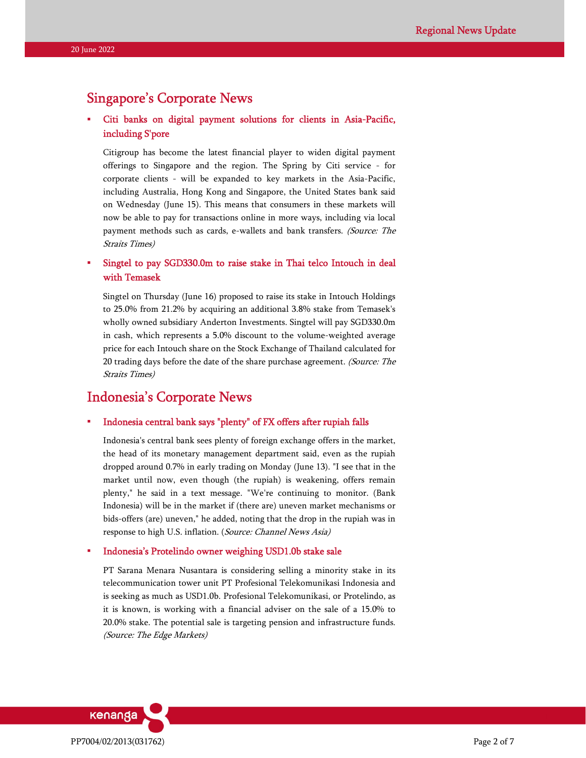## Singapore's Corporate News

### Citi banks on digital payment solutions for clients in Asia-Pacific, including S'pore

Citigroup has become the latest financial player to widen digital payment offerings to Singapore and the region. The Spring by Citi service - for corporate clients - will be expanded to key markets in the Asia-Pacific, including Australia, Hong Kong and Singapore, the United States bank said on Wednesday (June 15). This means that consumers in these markets will now be able to pay for transactions online in more ways, including via local payment methods such as cards, e-wallets and bank transfers. (Source: The Straits Times)

### Singtel to pay SGD330.0m to raise stake in Thai telco Intouch in deal with Temasek

Singtel on Thursday (June 16) proposed to raise its stake in Intouch Holdings to 25.0% from 21.2% by acquiring an additional 3.8% stake from Temasek's wholly owned subsidiary Anderton Investments. Singtel will pay SGD330.0m in cash, which represents a 5.0% discount to the volume-weighted average price for each Intouch share on the Stock Exchange of Thailand calculated for 20 trading days before the date of the share purchase agreement. (Source: The Straits Times)

# Indonesia's Corporate News

#### Indonesia central bank says "plenty" of FX offers after rupiah falls

Indonesia's central bank sees plenty of foreign exchange offers in the market, the head of its monetary management department said, even as the rupiah dropped around 0.7% in early trading on Monday (June 13). "I see that in the market until now, even though (the rupiah) is weakening, offers remain plenty," he said in a text message. "We're continuing to monitor. (Bank Indonesia) will be in the market if (there are) uneven market mechanisms or bids-offers (are) uneven," he added, noting that the drop in the rupiah was in response to high U.S. inflation. (Source: Channel News Asia)

#### Indonesia's Protelindo owner weighing USD1.0b stake sale

PT Sarana Menara Nusantara is considering selling a minority stake in its telecommunication tower unit PT Profesional Telekomunikasi Indonesia and is seeking as much as USD1.0b. Profesional Telekomunikasi, or Protelindo, as it is known, is working with a financial adviser on the sale of a 15.0% to 20.0% stake. The potential sale is targeting pension and infrastructure funds. (Source: The Edge Markets)

kenanga PP7004/02/2013(031762) Page 2 of 7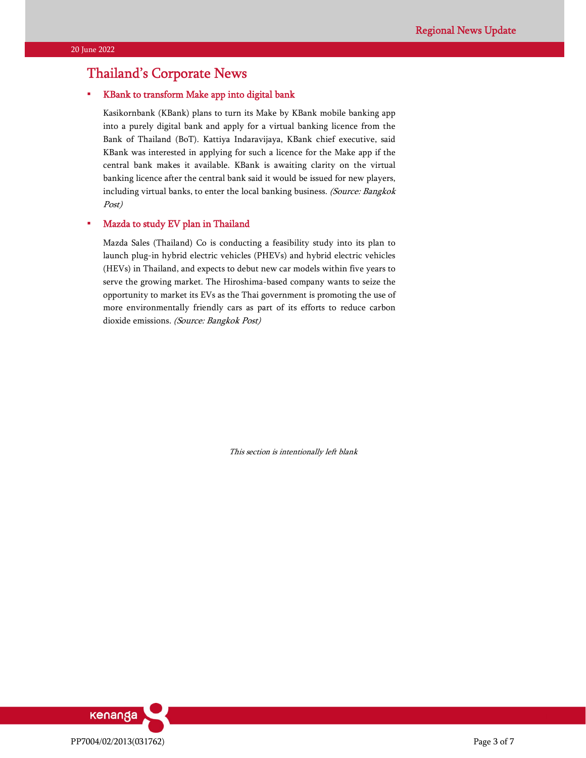# Thailand's Corporate News

#### KBank to transform Make app into digital bank

Kasikornbank (KBank) plans to turn its Make by KBank mobile banking app into a purely digital bank and apply for a virtual banking licence from the Bank of Thailand (BoT). Kattiya Indaravijaya, KBank chief executive, said KBank was interested in applying for such a licence for the Make app if the central bank makes it available. KBank is awaiting clarity on the virtual banking licence after the central bank said it would be issued for new players, including virtual banks, to enter the local banking business. (Source: Bangkok Post)

#### Mazda to study EV plan in Thailand

Mazda Sales (Thailand) Co is conducting a feasibility study into its plan to launch plug-in hybrid electric vehicles (PHEVs) and hybrid electric vehicles (HEVs) in Thailand, and expects to debut new car models within five years to serve the growing market. The Hiroshima-based company wants to seize the opportunity to market its EVs as the Thai government is promoting the use of more environmentally friendly cars as part of its efforts to reduce carbon dioxide emissions. (Source: Bangkok Post)

This section is intentionally left blank

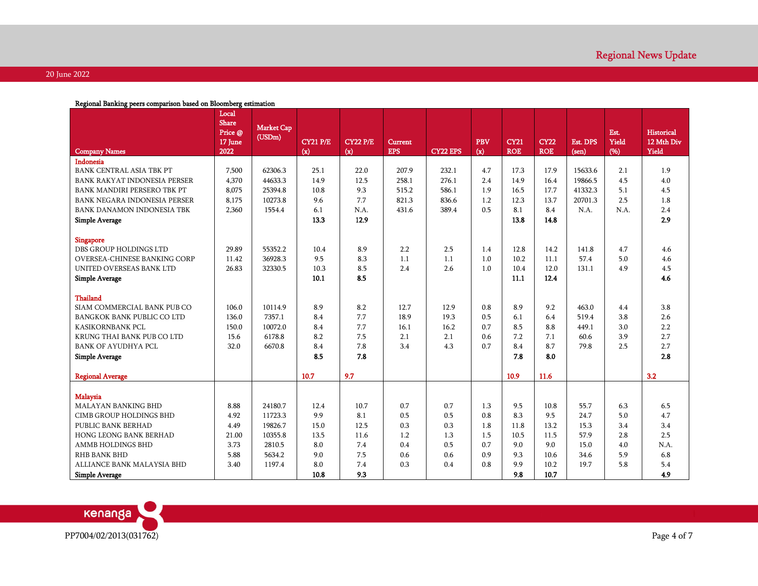|                                    | Local<br><b>Share</b><br>Price @<br>17 June | <b>Market Cap</b><br>(USDm) | <b>CY21 P/E</b> | <b>CY22 P/E</b> | <b>Current</b> |                 | <b>PBV</b> | <b>CY21</b> | <b>CY22</b> | <b>Est. DPS</b> | Est.<br>Yield | <b>Historical</b><br>12 Mth Div |
|------------------------------------|---------------------------------------------|-----------------------------|-----------------|-----------------|----------------|-----------------|------------|-------------|-------------|-----------------|---------------|---------------------------------|
| <b>Company Names</b>               | 2022                                        |                             | (x)             | (x)             | <b>EPS</b>     | <b>CY22 EPS</b> | (x)        | <b>ROE</b>  | <b>ROE</b>  | $(\text{sen})$  | (96)          | Yield                           |
| <b>Indonesia</b>                   |                                             |                             |                 |                 |                |                 |            |             |             |                 |               |                                 |
| BANK CENTRAL ASIA TBK PT           | 7,500                                       | 62306.3                     | 25.1            | 22.0            | 207.9          | 232.1           | 4.7        | 17.3        | 17.9        | 15633.6         | 2.1           | 1.9                             |
| BANK RAKYAT INDONESIA PERSER       | 4,370                                       | 44633.3                     | 14.9            | 12.5            | 258.1          | 276.1           | 2.4        | 14.9        | 16.4        | 19866.5         | 4.5           | 4.0                             |
| <b>BANK MANDIRI PERSERO TBK PT</b> | 8,075                                       | 25394.8                     | 10.8            | 9.3             | 515.2          | 586.1           | 1.9        | 16.5        | 17.7        | 41332.3         | 5.1           | 4.5                             |
| BANK NEGARA INDONESIA PERSER       | 8,175                                       | 10273.8                     | 9.6             | 7.7             | 821.3          | 836.6           | 1.2        | 12.3        | 13.7        | 20701.3         | 2.5           | 1.8                             |
| BANK DANAMON INDONESIA TBK         | 2,360                                       | 1554.4                      | 6.1             | N.A.            | 431.6          | 389.4           | 0.5        | 8.1         | 8.4         | N.A.            | N.A.          | 2.4                             |
| <b>Simple Average</b>              |                                             |                             | 13.3            | 12.9            |                |                 |            | 13.8        | 14.8        |                 |               | 2.9                             |
| <b>Singapore</b>                   |                                             |                             |                 |                 |                |                 |            |             |             |                 |               |                                 |
| DBS GROUP HOLDINGS LTD             | 29.89                                       | 55352.2                     | 10.4            | 8.9             | 2.2            | 2.5             | 1.4        | 12.8        | 14.2        | 141.8           | 4.7           | 4.6                             |
| OVERSEA-CHINESE BANKING CORP       | 11.42                                       | 36928.3                     | 9.5             | 8.3             | 1.1            | 1.1             | 1.0        | 10.2        | 11.1        | 57.4            | 5.0           | 4.6                             |
| UNITED OVERSEAS BANK LTD           | 26.83                                       | 32330.5                     | 10.3            | 8.5             | 2.4            | 2.6             | 1.0        | 10.4        | 12.0        | 131.1           | 4.9           | 4.5                             |
| <b>Simple Average</b>              |                                             |                             | 10.1            | 8.5             |                |                 |            | 11.1        | 12.4        |                 |               | 4.6                             |
| <b>Thailand</b>                    |                                             |                             |                 |                 |                |                 |            |             |             |                 |               |                                 |
| SIAM COMMERCIAL BANK PUB CO        | 106.0                                       | 10114.9                     | 8.9             | 8.2             | 12.7           | 12.9            | 0.8        | 8.9         | 9.2         | 463.0           | 4.4           | 3.8                             |
| <b>BANGKOK BANK PUBLIC CO LTD</b>  | 136.0                                       | 7357.1                      | 8.4             | 7.7             | 18.9           | 19.3            | 0.5        | 6.1         | 6.4         | 519.4           | 3.8           | 2.6                             |
| KASIKORNBANK PCL                   | 150.0                                       | 10072.0                     | 8.4             | 7.7             | 16.1           | 16.2            | 0.7        | 8.5         | 8.8         | 449.1           | 3.0           | $2.2\,$                         |
| KRUNG THAI BANK PUB CO LTD         | 15.6                                        | 6178.8                      | 8.2             | 7.5             | 2.1            | 2.1             | 0.6        | 7.2         | 7.1         | 60.6            | 3.9           | 2.7                             |
| <b>BANK OF AYUDHYA PCL</b>         | 32.0                                        | 6670.8                      | 8.4             | 7.8             | 3.4            | 4.3             | 0.7        | 8.4         | 8.7         | 79.8            | 2.5           | 2.7                             |
| <b>Simple Average</b>              |                                             |                             | 8.5             | 7.8             |                |                 |            | 7.8         | 8.0         |                 |               | 2.8                             |
| <b>Regional Average</b>            |                                             |                             | 10.7            | 9.7             |                |                 |            | 10.9        | 11.6        |                 |               | 3.2                             |
|                                    |                                             |                             |                 |                 |                |                 |            |             |             |                 |               |                                 |
| <b>Malaysia</b>                    |                                             |                             |                 |                 |                |                 |            |             |             |                 |               |                                 |
| <b>MALAYAN BANKING BHD</b>         | 8.88                                        | 24180.7                     | 12.4            | 10.7            | 0.7            | 0.7             | 1.3        | 9.5         | 10.8        | 55.7            | 6.3           | 6.5                             |
| <b>CIMB GROUP HOLDINGS BHD</b>     | 4.92                                        | 11723.3                     | 9.9             | 8.1             | 0.5            | 0.5             | 0.8        | 8.3         | 9.5         | 24.7            | 5.0           | 4.7                             |
| PUBLIC BANK BERHAD                 | 4.49                                        | 19826.7                     | 15.0            | 12.5            | 0.3            | 0.3             | 1.8        | 11.8        | 13.2        | 15.3            | 3.4           | 3.4                             |
| <b>HONG LEONG BANK BERHAD</b>      | 21.00                                       | 10355.8                     | 13.5            | 11.6            | 1.2            | 1.3             | 1.5        | 10.5        | 11.5        | 57.9            | 2.8           | 2.5                             |
| AMMB HOLDINGS BHD                  | 3.73                                        | 2810.5                      | 8.0             | 7.4             | 0.4            | 0.5             | 0.7        | 9.0         | 9.0         | 15.0            | 4.0           | N.A.                            |
| <b>RHB BANK BHD</b>                | 5.88                                        | 5634.2                      | 9.0             | 7.5             | 0.6            | 0.6             | 0.9        | 9.3         | 10.6        | 34.6            | 5.9           | 6.8                             |
| ALLIANCE BANK MALAYSIA BHD         | 3.40                                        | 1197.4                      | 8.0             | 7.4             | 0.3            | 0.4             | 0.8        | 9.9         | 10.2        | 19.7            | 5.8           | 5.4                             |
| <b>Simple Average</b>              |                                             |                             | 10.8            | 9.3             |                |                 |            | 9.8         | 10.7        |                 |               | 4.9                             |

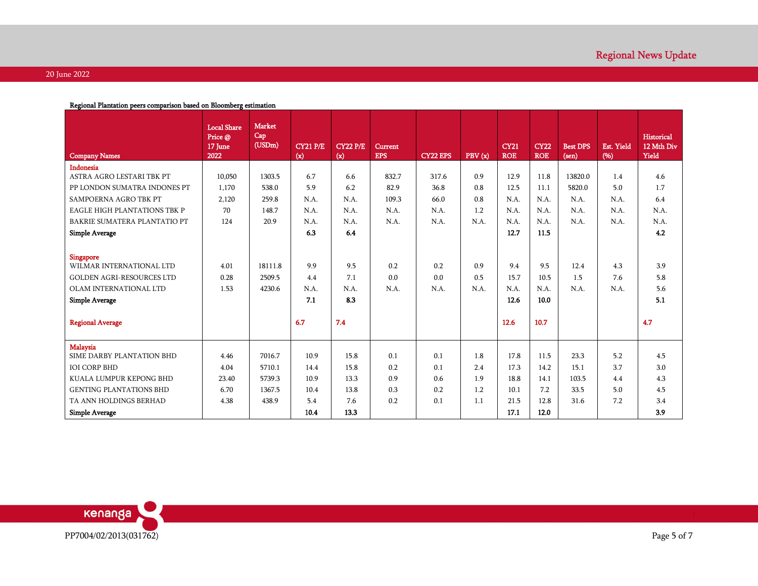| Indonesia<br>832.7<br>0.9<br>12.9<br>13820.0<br>ASTRA AGRO LESTARI TBK PT<br>10,050<br>1303.5<br>6.7<br>317.6<br>11.8<br>1.4<br>4.6<br>6.6<br>5.9<br>82.9<br>12.5<br>5820.0<br>5.0<br>PP LONDON SUMATRA INDONES PT<br>1,170<br>538.0<br>6.2<br>36.8<br>0.8<br>11.1<br>1.7<br>SAMPOERNA AGRO TBK PT<br>2,120<br>259.8<br>N.A.<br>N.A.<br>109.3<br>66.0<br>0.8<br>N.A.<br>N.A.<br>N.A.<br>N.A.<br>6.4<br>70<br>N.A.<br>N.A.<br>N.A.<br>1.2<br>N.A.<br>N.A.<br><b>EAGLE HIGH PLANTATIONS TBK P</b><br>148.7<br>N.A.<br>N.A.<br>N.A.<br>N.A.<br>N.A.<br>N.A.<br>N.A.<br>BAKRIE SUMATERA PLANTATIO PT<br>124<br>20.9<br>N.A.<br>N.A.<br>N.A.<br>N.A.<br>N.A.<br>N.A.<br>N.A.<br>6.3<br>12.7<br>4.2<br>6.4<br>11.5<br><b>Simple Average</b><br>Singapore<br>9.9<br>0.2<br>0.9<br>WILMAR INTERNATIONAL LTD<br>4.01<br>18111.8<br>9.5<br>0.2<br>9.4<br>9.5<br>12.4<br>4.3<br>3.9<br>0.5<br>0.28<br>2509.5<br>4.4<br>0.0<br>0.0<br>15.7<br>1.5<br>7.6<br>5.8<br><b>GOLDEN AGRI-RESOURCES LTD</b><br>7.1<br>10.5<br>OLAM INTERNATIONAL LTD<br>1.53<br>4230.6<br>N.A.<br>N.A.<br>N.A.<br>N.A.<br>N.A.<br>N.A.<br>N.A.<br>5.6<br>N.A.<br>N.A.<br><b>Simple Average</b><br>7.1<br>8.3<br>12.6<br>10.0<br>5.1<br>7.4<br><b>Regional Average</b><br>6.7<br>12.6<br>10.7<br>4.7<br>Malaysia<br>7016.7<br>10.9<br>0.1<br>17.8<br>5.2<br>SIME DARBY PLANTATION BHD<br>4.46<br>15.8<br>0.1<br>1.8<br>11.5<br>23.3<br>4.5<br>4.04<br>5710.1<br>0.2<br>2.4<br>17.3<br>3.7<br>3.0<br><b>IOI CORP BHD</b><br>14.4<br>15.8<br>0.1<br>14.2<br>15.1<br>0.9<br>23.40<br>5739.3<br>10.9<br>13.3<br>0.6<br>1.9<br>18.8<br>103.5<br>4.4<br>$4.3\,$<br>KUALA LUMPUR KEPONG BHD<br>14.1<br>6.70<br>0.3<br>0.2<br>1.2<br>5.0<br>4.5<br><b>GENTING PLANTATIONS BHD</b><br>1367.5<br>10.4<br>13.8<br>10.1<br>7.2<br>33.5<br>21.5<br>TA ANN HOLDINGS BERHAD<br>4.38<br>438.9<br>5.4<br>7.6<br>0.2<br>$0.1\,$<br>1.1<br>12.8<br>31.6<br>$7.2\,$<br>$3.4\,$<br>3.9<br><b>Simple Average</b><br>10.4<br>13.3<br>17.1<br>12.0 | <b>Company Names</b>   | <b>Local Share</b><br>Price @<br>17 June<br>2022 | <b>Market</b><br>Cap<br>(USDm) | <b>CY21 P/E</b><br>(x) | <b>CY22 P/E</b><br>(x) | <b>Current</b><br><b>EPS</b> | <b>CY22 EPS</b> | PBV(x) | <b>CY21</b><br><b>ROE</b> | <b>CY22</b><br><b>ROE</b> | <b>Best DPS</b><br>$(\text{sen})$ | Est. Yield<br>(96) | <b>Historical</b><br>12 Mth Div<br>Yield |
|---------------------------------------------------------------------------------------------------------------------------------------------------------------------------------------------------------------------------------------------------------------------------------------------------------------------------------------------------------------------------------------------------------------------------------------------------------------------------------------------------------------------------------------------------------------------------------------------------------------------------------------------------------------------------------------------------------------------------------------------------------------------------------------------------------------------------------------------------------------------------------------------------------------------------------------------------------------------------------------------------------------------------------------------------------------------------------------------------------------------------------------------------------------------------------------------------------------------------------------------------------------------------------------------------------------------------------------------------------------------------------------------------------------------------------------------------------------------------------------------------------------------------------------------------------------------------------------------------------------------------------------------------------------------------------------------------------------------------------------------------------------------------------------------------------------------------------------------------------------------------------------------------------------------------------------------------------------------------------------|------------------------|--------------------------------------------------|--------------------------------|------------------------|------------------------|------------------------------|-----------------|--------|---------------------------|---------------------------|-----------------------------------|--------------------|------------------------------------------|
|                                                                                                                                                                                                                                                                                                                                                                                                                                                                                                                                                                                                                                                                                                                                                                                                                                                                                                                                                                                                                                                                                                                                                                                                                                                                                                                                                                                                                                                                                                                                                                                                                                                                                                                                                                                                                                                                                                                                                                                       |                        |                                                  |                                |                        |                        |                              |                 |        |                           |                           |                                   |                    |                                          |
|                                                                                                                                                                                                                                                                                                                                                                                                                                                                                                                                                                                                                                                                                                                                                                                                                                                                                                                                                                                                                                                                                                                                                                                                                                                                                                                                                                                                                                                                                                                                                                                                                                                                                                                                                                                                                                                                                                                                                                                       |                        |                                                  |                                |                        |                        |                              |                 |        |                           |                           |                                   |                    |                                          |
|                                                                                                                                                                                                                                                                                                                                                                                                                                                                                                                                                                                                                                                                                                                                                                                                                                                                                                                                                                                                                                                                                                                                                                                                                                                                                                                                                                                                                                                                                                                                                                                                                                                                                                                                                                                                                                                                                                                                                                                       |                        |                                                  |                                |                        |                        |                              |                 |        |                           |                           |                                   |                    |                                          |
|                                                                                                                                                                                                                                                                                                                                                                                                                                                                                                                                                                                                                                                                                                                                                                                                                                                                                                                                                                                                                                                                                                                                                                                                                                                                                                                                                                                                                                                                                                                                                                                                                                                                                                                                                                                                                                                                                                                                                                                       |                        |                                                  |                                |                        |                        |                              |                 |        |                           |                           |                                   |                    |                                          |
|                                                                                                                                                                                                                                                                                                                                                                                                                                                                                                                                                                                                                                                                                                                                                                                                                                                                                                                                                                                                                                                                                                                                                                                                                                                                                                                                                                                                                                                                                                                                                                                                                                                                                                                                                                                                                                                                                                                                                                                       |                        |                                                  |                                |                        |                        |                              |                 |        |                           |                           |                                   |                    |                                          |
|                                                                                                                                                                                                                                                                                                                                                                                                                                                                                                                                                                                                                                                                                                                                                                                                                                                                                                                                                                                                                                                                                                                                                                                                                                                                                                                                                                                                                                                                                                                                                                                                                                                                                                                                                                                                                                                                                                                                                                                       |                        |                                                  |                                |                        |                        |                              |                 |        |                           |                           |                                   |                    |                                          |
|                                                                                                                                                                                                                                                                                                                                                                                                                                                                                                                                                                                                                                                                                                                                                                                                                                                                                                                                                                                                                                                                                                                                                                                                                                                                                                                                                                                                                                                                                                                                                                                                                                                                                                                                                                                                                                                                                                                                                                                       |                        |                                                  |                                |                        |                        |                              |                 |        |                           |                           |                                   |                    |                                          |
|                                                                                                                                                                                                                                                                                                                                                                                                                                                                                                                                                                                                                                                                                                                                                                                                                                                                                                                                                                                                                                                                                                                                                                                                                                                                                                                                                                                                                                                                                                                                                                                                                                                                                                                                                                                                                                                                                                                                                                                       |                        |                                                  |                                |                        |                        |                              |                 |        |                           |                           |                                   |                    |                                          |
|                                                                                                                                                                                                                                                                                                                                                                                                                                                                                                                                                                                                                                                                                                                                                                                                                                                                                                                                                                                                                                                                                                                                                                                                                                                                                                                                                                                                                                                                                                                                                                                                                                                                                                                                                                                                                                                                                                                                                                                       |                        |                                                  |                                |                        |                        |                              |                 |        |                           |                           |                                   |                    |                                          |
|                                                                                                                                                                                                                                                                                                                                                                                                                                                                                                                                                                                                                                                                                                                                                                                                                                                                                                                                                                                                                                                                                                                                                                                                                                                                                                                                                                                                                                                                                                                                                                                                                                                                                                                                                                                                                                                                                                                                                                                       |                        |                                                  |                                |                        |                        |                              |                 |        |                           |                           |                                   |                    |                                          |
|                                                                                                                                                                                                                                                                                                                                                                                                                                                                                                                                                                                                                                                                                                                                                                                                                                                                                                                                                                                                                                                                                                                                                                                                                                                                                                                                                                                                                                                                                                                                                                                                                                                                                                                                                                                                                                                                                                                                                                                       |                        |                                                  |                                |                        |                        |                              |                 |        |                           |                           |                                   |                    |                                          |
|                                                                                                                                                                                                                                                                                                                                                                                                                                                                                                                                                                                                                                                                                                                                                                                                                                                                                                                                                                                                                                                                                                                                                                                                                                                                                                                                                                                                                                                                                                                                                                                                                                                                                                                                                                                                                                                                                                                                                                                       |                        |                                                  |                                |                        |                        |                              |                 |        |                           |                           |                                   |                    |                                          |
|                                                                                                                                                                                                                                                                                                                                                                                                                                                                                                                                                                                                                                                                                                                                                                                                                                                                                                                                                                                                                                                                                                                                                                                                                                                                                                                                                                                                                                                                                                                                                                                                                                                                                                                                                                                                                                                                                                                                                                                       |                        |                                                  |                                |                        |                        |                              |                 |        |                           |                           |                                   |                    |                                          |
|                                                                                                                                                                                                                                                                                                                                                                                                                                                                                                                                                                                                                                                                                                                                                                                                                                                                                                                                                                                                                                                                                                                                                                                                                                                                                                                                                                                                                                                                                                                                                                                                                                                                                                                                                                                                                                                                                                                                                                                       |                        |                                                  |                                |                        |                        |                              |                 |        |                           |                           |                                   |                    |                                          |
|                                                                                                                                                                                                                                                                                                                                                                                                                                                                                                                                                                                                                                                                                                                                                                                                                                                                                                                                                                                                                                                                                                                                                                                                                                                                                                                                                                                                                                                                                                                                                                                                                                                                                                                                                                                                                                                                                                                                                                                       |                        |                                                  |                                |                        |                        |                              |                 |        |                           |                           |                                   |                    |                                          |
|                                                                                                                                                                                                                                                                                                                                                                                                                                                                                                                                                                                                                                                                                                                                                                                                                                                                                                                                                                                                                                                                                                                                                                                                                                                                                                                                                                                                                                                                                                                                                                                                                                                                                                                                                                                                                                                                                                                                                                                       |                        |                                                  |                                |                        |                        |                              |                 |        |                           |                           |                                   |                    |                                          |
|                                                                                                                                                                                                                                                                                                                                                                                                                                                                                                                                                                                                                                                                                                                                                                                                                                                                                                                                                                                                                                                                                                                                                                                                                                                                                                                                                                                                                                                                                                                                                                                                                                                                                                                                                                                                                                                                                                                                                                                       |                        |                                                  |                                |                        |                        |                              |                 |        |                           |                           |                                   |                    |                                          |
|                                                                                                                                                                                                                                                                                                                                                                                                                                                                                                                                                                                                                                                                                                                                                                                                                                                                                                                                                                                                                                                                                                                                                                                                                                                                                                                                                                                                                                                                                                                                                                                                                                                                                                                                                                                                                                                                                                                                                                                       |                        |                                                  |                                |                        |                        |                              |                 |        |                           |                           |                                   |                    |                                          |
|                                                                                                                                                                                                                                                                                                                                                                                                                                                                                                                                                                                                                                                                                                                                                                                                                                                                                                                                                                                                                                                                                                                                                                                                                                                                                                                                                                                                                                                                                                                                                                                                                                                                                                                                                                                                                                                                                                                                                                                       |                        |                                                  |                                |                        |                        |                              |                 |        |                           |                           |                                   |                    |                                          |
|                                                                                                                                                                                                                                                                                                                                                                                                                                                                                                                                                                                                                                                                                                                                                                                                                                                                                                                                                                                                                                                                                                                                                                                                                                                                                                                                                                                                                                                                                                                                                                                                                                                                                                                                                                                                                                                                                                                                                                                       | kenanga                |                                                  |                                |                        |                        |                              |                 |        |                           |                           |                                   |                    |                                          |
|                                                                                                                                                                                                                                                                                                                                                                                                                                                                                                                                                                                                                                                                                                                                                                                                                                                                                                                                                                                                                                                                                                                                                                                                                                                                                                                                                                                                                                                                                                                                                                                                                                                                                                                                                                                                                                                                                                                                                                                       | PP7004/02/2013(031762) |                                                  |                                |                        |                        |                              |                 |        |                           |                           |                                   |                    | Page 5 of 7                              |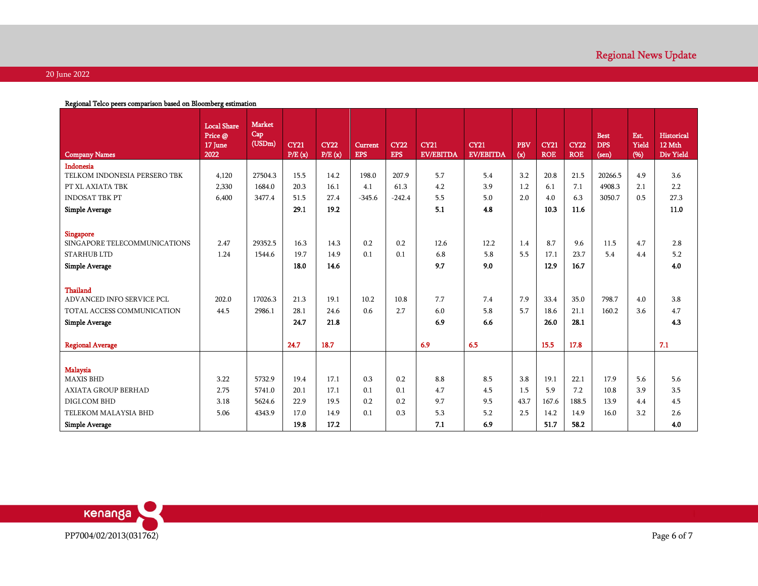| Regional Telco peers comparison based on Bloomberg estimation                                   |                                                  |                                |                       |                       |                              |                           |                                 |                                 |                                   |                           |                           |                                    |                      |                                          |
|-------------------------------------------------------------------------------------------------|--------------------------------------------------|--------------------------------|-----------------------|-----------------------|------------------------------|---------------------------|---------------------------------|---------------------------------|-----------------------------------|---------------------------|---------------------------|------------------------------------|----------------------|------------------------------------------|
| <b>Company Names</b>                                                                            | <b>Local Share</b><br>Price @<br>17 June<br>2022 | <b>Market</b><br>Cap<br>(USDm) | <b>CY21</b><br>P/E(x) | <b>CY22</b><br>P/E(x) | <b>Current</b><br><b>EPS</b> | <b>CY22</b><br><b>EPS</b> | <b>CY21</b><br><b>EV/EBITDA</b> | <b>CY21</b><br><b>EV/EBITDA</b> | PBV<br>$\left( \mathbf{x}\right)$ | <b>CY21</b><br><b>ROE</b> | <b>CY22</b><br><b>ROE</b> | <b>Best</b><br><b>DPS</b><br>(sen) | Est.<br>Yield<br>(%) | <b>Historical</b><br>12 Mth<br>Div Yield |
| Indonesia                                                                                       |                                                  |                                |                       |                       |                              |                           |                                 |                                 |                                   |                           |                           |                                    |                      |                                          |
| TELKOM INDONESIA PERSERO TBK                                                                    | 4,120                                            | 27504.3                        | 15.5                  | 14.2                  | 198.0                        | 207.9                     | 5.7                             | 5.4                             | 3.2                               | 20.8                      | 21.5                      | 20266.5                            | 4.9                  | 3.6                                      |
| PT XL AXIATA TBK                                                                                | 2,330                                            | 1684.0                         | 20.3                  | 16.1                  | 4.1                          | 61.3                      | 4.2                             | 3.9                             | 1.2                               | 6.1                       | 7.1                       | 4908.3                             | 2.1                  | 2.2                                      |
| <b>INDOSAT TBK PT</b>                                                                           | 6,400                                            | 3477.4                         | 51.5                  | 27.4                  | $-345.6$                     | $-242.4$                  | 5.5                             | $5.0\,$                         | 2.0                               | $4.0\,$                   | 6.3                       | 3050.7                             | 0.5                  | 27.3                                     |
| <b>Simple Average</b>                                                                           |                                                  |                                | 29.1                  | 19.2                  |                              |                           | 5.1                             | 4.8                             |                                   | 10.3                      | 11.6                      |                                    |                      | 11.0                                     |
| <b>Singapore</b><br>SINGAPORE TELECOMMUNICATIONS<br><b>STARHUB LTD</b><br><b>Simple Average</b> | 2.47<br>1.24                                     | 29352.5<br>1544.6              | 16.3<br>19.7<br>18.0  | 14.3<br>14.9<br>14.6  | 0.2<br>0.1                   | 0.2<br>0.1                | 12.6<br>6.8<br>9.7              | 12.2<br>5.8<br>9.0              | 1.4<br>5.5                        | 8.7<br>17.1<br>12.9       | 9.6<br>23.7<br>16.7       | 11.5<br>5.4                        | 4.7<br>4.4           | 2.8<br>5.2<br>$4.0\,$                    |
|                                                                                                 |                                                  |                                |                       |                       |                              |                           |                                 |                                 |                                   |                           |                           |                                    |                      |                                          |
| <b>Thailand</b><br>ADVANCED INFO SERVICE PCL                                                    | 202.0                                            | 17026.3                        | 21.3                  | 19.1                  | 10.2                         | 10.8                      | 7.7                             | 7.4                             | 7.9                               | 33.4                      | 35.0                      | 798.7                              | 4.0                  | 3.8                                      |
| TOTAL ACCESS COMMUNICATION                                                                      | 44.5                                             | 2986.1                         | 28.1                  | 24.6                  | 0.6                          | 2.7                       | $6.0\,$                         | 5.8                             | 5.7                               | 18.6                      | 21.1                      | 160.2                              | 3.6                  | 4.7                                      |
|                                                                                                 |                                                  |                                | 24.7                  | 21.8                  |                              |                           | 6.9                             | 6.6                             |                                   | 26.0                      | 28.1                      |                                    |                      | 4.3                                      |
| <b>Simple Average</b>                                                                           |                                                  |                                |                       |                       |                              |                           |                                 |                                 |                                   |                           |                           |                                    |                      |                                          |
| <b>Regional Average</b>                                                                         |                                                  |                                | 24.7                  | 18.7                  |                              |                           | 6.9                             | 6.5                             |                                   | 15.5                      | 17.8                      |                                    |                      | 7.1                                      |
|                                                                                                 |                                                  |                                |                       |                       |                              |                           |                                 |                                 |                                   |                           |                           |                                    |                      |                                          |
| Malaysia                                                                                        |                                                  |                                |                       |                       |                              |                           |                                 |                                 |                                   |                           |                           |                                    |                      |                                          |
| <b>MAXIS BHD</b>                                                                                | 3.22                                             | 5732.9                         | 19.4                  | 17.1                  | 0.3                          | 0.2                       | 8.8                             | 8.5                             | 3.8                               | 19.1                      | 22.1                      | 17.9                               | 5.6                  | 5.6                                      |
| AXIATA GROUP BERHAD                                                                             | 2.75                                             | 5741.0                         | 20.1                  | 17.1                  | 0.1                          | 0.1                       | 4.7                             | 4.5                             | 1.5                               | 5.9                       | 7.2                       | 10.8                               | 3.9                  | 3.5                                      |
| DIGI.COM BHD                                                                                    | 3.18                                             | 5624.6                         | 22.9                  | 19.5                  | 0.2                          | 0.2                       | 9.7                             | 9.5                             | 43.7                              | 167.6                     | 188.5                     | 13.9                               | 4.4                  | 4.5                                      |
| TELEKOM MALAYSIA BHD                                                                            | 5.06                                             | 4343.9                         | 17.0                  | 14.9                  | 0.1                          | 0.3                       | 5.3                             | 5.2                             | 2.5                               | 14.2                      | 14.9                      | 16.0                               | 3.2                  | 2.6                                      |
| <b>Simple Average</b>                                                                           |                                                  |                                | 19.8                  | 17.2                  |                              |                           | 7.1                             | 6.9                             |                                   | 51.7                      | 58.2                      |                                    |                      | 4.0                                      |
|                                                                                                 |                                                  |                                |                       |                       |                              |                           |                                 |                                 |                                   |                           |                           |                                    |                      |                                          |
| kenanga                                                                                         |                                                  |                                |                       |                       |                              |                           |                                 |                                 |                                   |                           |                           |                                    |                      |                                          |
| PP7004/02/2013(031762)                                                                          |                                                  |                                |                       |                       |                              |                           |                                 |                                 |                                   |                           |                           |                                    |                      | Page 6 of 7                              |